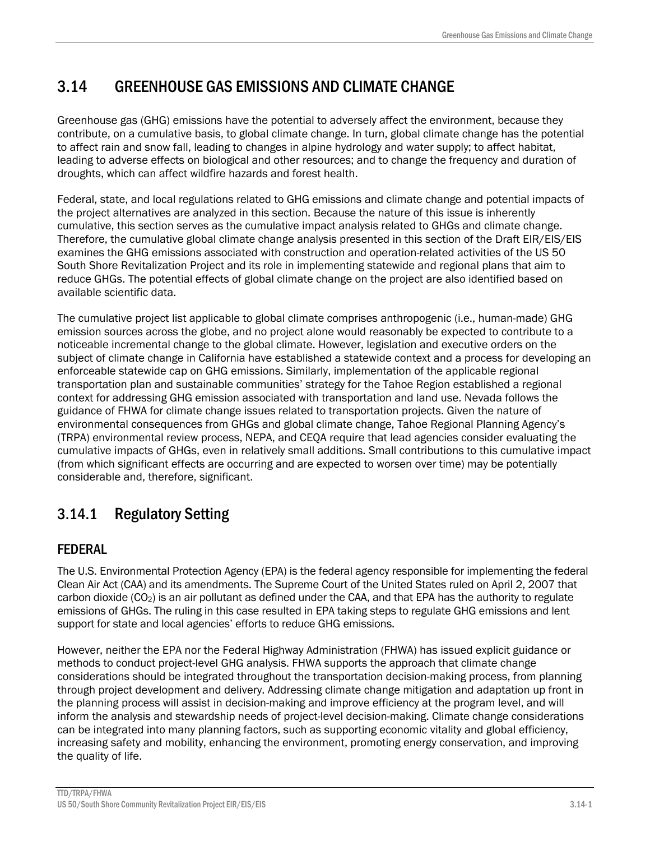# 3.14 GREENHOUSE GAS EMISSIONS AND CLIMATE CHANGE

Greenhouse gas (GHG) emissions have the potential to adversely affect the environment, because they contribute, on a cumulative basis, to global climate change. In turn, global climate change has the potential to affect rain and snow fall, leading to changes in alpine hydrology and water supply; to affect habitat, leading to adverse effects on biological and other resources; and to change the frequency and duration of droughts, which can affect wildfire hazards and forest health.

Federal, state, and local regulations related to GHG emissions and climate change and potential impacts of the project alternatives are analyzed in this section. Because the nature of this issue is inherently cumulative, this section serves as the cumulative impact analysis related to GHGs and climate change. Therefore, the cumulative global climate change analysis presented in this section of the Draft EIR/EIS/EIS examines the GHG emissions associated with construction and operation-related activities of the US 50 South Shore Revitalization Project and its role in implementing statewide and regional plans that aim to reduce GHGs. The potential effects of global climate change on the project are also identified based on available scientific data.

The cumulative project list applicable to global climate comprises anthropogenic (i.e., human-made) GHG emission sources across the globe, and no project alone would reasonably be expected to contribute to a noticeable incremental change to the global climate. However, legislation and executive orders on the subject of climate change in California have established a statewide context and a process for developing an enforceable statewide cap on GHG emissions. Similarly, implementation of the applicable regional transportation plan and sustainable communities' strategy for the Tahoe Region established a regional context for addressing GHG emission associated with transportation and land use. Nevada follows the guidance of FHWA for climate change issues related to transportation projects. Given the nature of environmental consequences from GHGs and global climate change, Tahoe Regional Planning Agency's (TRPA) environmental review process, NEPA, and CEQA require that lead agencies consider evaluating the cumulative impacts of GHGs, even in relatively small additions. Small contributions to this cumulative impact (from which significant effects are occurring and are expected to worsen over time) may be potentially considerable and, therefore, significant.

# 3.14.1 Regulatory Setting

# FEDERAL

The U.S. Environmental Protection Agency (EPA) is the federal agency responsible for implementing the federal Clean Air Act (CAA) and its amendments. The Supreme Court of the United States ruled on April 2, 2007 that carbon dioxide  $(CO_2)$  is an air pollutant as defined under the CAA, and that EPA has the authority to regulate emissions of GHGs. The ruling in this case resulted in EPA taking steps to regulate GHG emissions and lent support for state and local agencies' efforts to reduce GHG emissions.

However, neither the EPA nor the Federal Highway Administration (FHWA) has issued explicit guidance or methods to conduct project-level GHG analysis. FHWA supports the approach that climate change considerations should be integrated throughout the transportation decision-making process, from planning through project development and delivery. Addressing climate change mitigation and adaptation up front in the planning process will assist in decision-making and improve efficiency at the program level, and will inform the analysis and stewardship needs of project-level decision-making. Climate change considerations can be integrated into many planning factors, such as supporting economic vitality and global efficiency, increasing safety and mobility, enhancing the environment, promoting energy conservation, and improving the quality of life.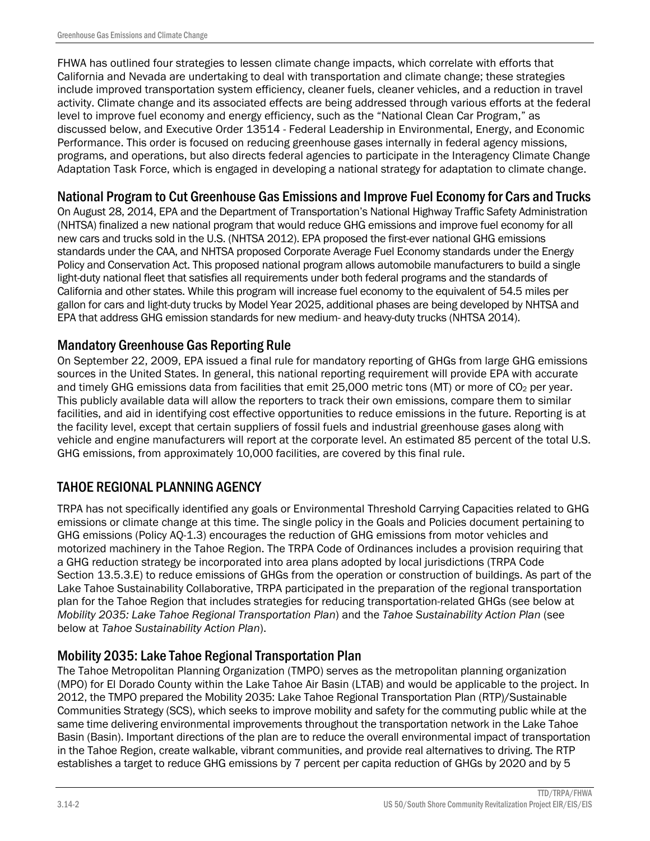FHWA has outlined four strategies to lessen climate change impacts, which correlate with efforts that California and Nevada are undertaking to deal with transportation and climate change; these strategies include improved transportation system efficiency, cleaner fuels, cleaner vehicles, and a reduction in travel activity. Climate change and its associated effects are being addressed through various efforts at the federal level to improve fuel economy and energy efficiency, such as the "National Clean Car Program," as discussed below, and Executive Order 13514 - Federal Leadership in Environmental, Energy, and Economic Performance. This order is focused on reducing greenhouse gases internally in federal agency missions, programs, and operations, but also directs federal agencies to participate in the Interagency Climate Change Adaptation Task Force, which is engaged in developing a national strategy for adaptation to climate change.

# National Program to Cut Greenhouse Gas Emissions and Improve Fuel Economy for Cars and Trucks

On August 28, 2014, EPA and the Department of Transportation's National Highway Traffic Safety Administration (NHTSA) finalized a new national program that would reduce GHG emissions and improve fuel economy for all new cars and trucks sold in the U.S. (NHTSA 2012). EPA proposed the first-ever national GHG emissions standards under the CAA, and NHTSA proposed Corporate Average Fuel Economy standards under the Energy Policy and Conservation Act. This proposed national program allows automobile manufacturers to build a single light-duty national fleet that satisfies all requirements under both federal programs and the standards of California and other states. While this program will increase fuel economy to the equivalent of 54.5 miles per gallon for cars and light-duty trucks by Model Year 2025, additional phases are being developed by NHTSA and EPA that address GHG emission standards for new medium- and heavy-duty trucks (NHTSA 2014).

# Mandatory Greenhouse Gas Reporting Rule

On September 22, 2009, EPA issued a final rule for mandatory reporting of GHGs from large GHG emissions sources in the United States. In general, this national reporting requirement will provide EPA with accurate and timely GHG emissions data from facilities that emit 25,000 metric tons (MT) or more of CO<sub>2</sub> per year. This publicly available data will allow the reporters to track their own emissions, compare them to similar facilities, and aid in identifying cost effective opportunities to reduce emissions in the future. Reporting is at the facility level, except that certain suppliers of fossil fuels and industrial greenhouse gases along with vehicle and engine manufacturers will report at the corporate level. An estimated 85 percent of the total U.S. GHG emissions, from approximately 10,000 facilities, are covered by this final rule.

# TAHOE REGIONAL PLANNING AGENCY

TRPA has not specifically identified any goals or Environmental Threshold Carrying Capacities related to GHG emissions or climate change at this time. The single policy in the Goals and Policies document pertaining to GHG emissions (Policy AQ-1.3) encourages the reduction of GHG emissions from motor vehicles and motorized machinery in the Tahoe Region. The TRPA Code of Ordinances includes a provision requiring that a GHG reduction strategy be incorporated into area plans adopted by local jurisdictions (TRPA Code Section 13.5.3.E) to reduce emissions of GHGs from the operation or construction of buildings. As part of the Lake Tahoe Sustainability Collaborative, TRPA participated in the preparation of the regional transportation plan for the Tahoe Region that includes strategies for reducing transportation-related GHGs (see below at *Mobility 2035: Lake Tahoe Regional Transportation Plan*) and the *Tahoe Sustainability Action Plan* (see below at *Tahoe Sustainability Action Plan*).

# Mobility 2035: Lake Tahoe Regional Transportation Plan

The Tahoe Metropolitan Planning Organization (TMPO) serves as the metropolitan planning organization (MPO) for El Dorado County within the Lake Tahoe Air Basin (LTAB) and would be applicable to the project. In 2012, the TMPO prepared the Mobility 2035: Lake Tahoe Regional Transportation Plan (RTP)/Sustainable Communities Strategy (SCS), which seeks to improve mobility and safety for the commuting public while at the same time delivering environmental improvements throughout the transportation network in the Lake Tahoe Basin (Basin). Important directions of the plan are to reduce the overall environmental impact of transportation in the Tahoe Region, create walkable, vibrant communities, and provide real alternatives to driving. The RTP establishes a target to reduce GHG emissions by 7 percent per capita reduction of GHGs by 2020 and by 5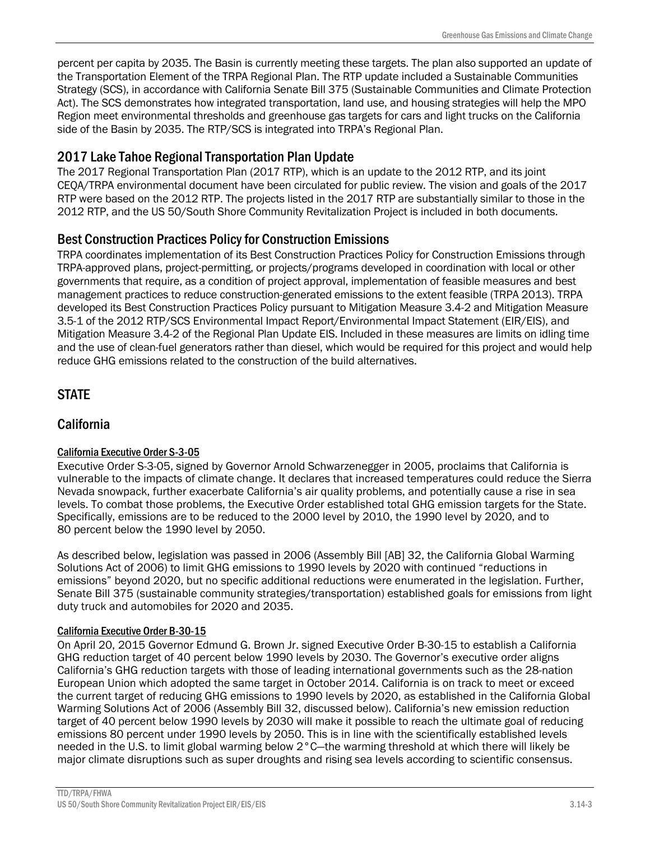percent per capita by 2035. The Basin is currently meeting these targets. The plan also supported an update of the Transportation Element of the TRPA Regional Plan. The RTP update included a Sustainable Communities Strategy (SCS), in accordance with California Senate Bill 375 (Sustainable Communities and Climate Protection Act). The SCS demonstrates how integrated transportation, land use, and housing strategies will help the MPO Region meet environmental thresholds and greenhouse gas targets for cars and light trucks on the California side of the Basin by 2035. The RTP/SCS is integrated into TRPA's Regional Plan.

# 2017 Lake Tahoe Regional Transportation Plan Update

The 2017 Regional Transportation Plan (2017 RTP), which is an update to the 2012 RTP, and its joint CEQA/TRPA environmental document have been circulated for public review. The vision and goals of the 2017 RTP were based on the 2012 RTP. The projects listed in the 2017 RTP are substantially similar to those in the 2012 RTP, and the US 50/South Shore Community Revitalization Project is included in both documents.

## Best Construction Practices Policy for Construction Emissions

TRPA coordinates implementation of its Best Construction Practices Policy for Construction Emissions through TRPA-approved plans, project-permitting, or projects/programs developed in coordination with local or other governments that require, as a condition of project approval, implementation of feasible measures and best management practices to reduce construction-generated emissions to the extent feasible (TRPA 2013). TRPA developed its Best Construction Practices Policy pursuant to Mitigation Measure 3.4-2 and Mitigation Measure 3.5-1 of the 2012 RTP/SCS Environmental Impact Report/Environmental Impact Statement (EIR/EIS), and Mitigation Measure 3.4-2 of the Regional Plan Update EIS. Included in these measures are limits on idling time and the use of clean-fuel generators rather than diesel, which would be required for this project and would help reduce GHG emissions related to the construction of the build alternatives.

# **STATE**

# California

### California Executive Order S-3-05

Executive Order S-3-05, signed by Governor Arnold Schwarzenegger in 2005, proclaims that California is vulnerable to the impacts of climate change. It declares that increased temperatures could reduce the Sierra Nevada snowpack, further exacerbate California's air quality problems, and potentially cause a rise in sea levels. To combat those problems, the Executive Order established total GHG emission targets for the State. Specifically, emissions are to be reduced to the 2000 level by 2010, the 1990 level by 2020, and to 80 percent below the 1990 level by 2050.

As described below, legislation was passed in 2006 (Assembly Bill [AB] 32, the California Global Warming Solutions Act of 2006) to limit GHG emissions to 1990 levels by 2020 with continued "reductions in emissions" beyond 2020, but no specific additional reductions were enumerated in the legislation. Further, Senate Bill 375 (sustainable community strategies/transportation) established goals for emissions from light duty truck and automobiles for 2020 and 2035.

### California Executive Order B-30-15

On April 20, 2015 Governor Edmund G. Brown Jr. signed Executive Order B-30-15 to establish a California GHG reduction target of 40 percent below 1990 levels by 2030. The Governor's executive order aligns California's GHG reduction targets with those of leading international governments such as the 28-nation European Union which adopted the same target in October 2014. California is on track to meet or exceed the current target of reducing GHG emissions to 1990 levels by 2020, as established in the California Global Warming Solutions Act of 2006 (Assembly Bill 32, discussed below). California's new emission reduction target of 40 percent below 1990 levels by 2030 will make it possible to reach the ultimate goal of reducing emissions 80 percent under 1990 levels by 2050. This is in line with the scientifically established levels needed in the U.S. to limit global warming below 2°C—the warming threshold at which there will likely be major climate disruptions such as super droughts and rising sea levels according to scientific consensus.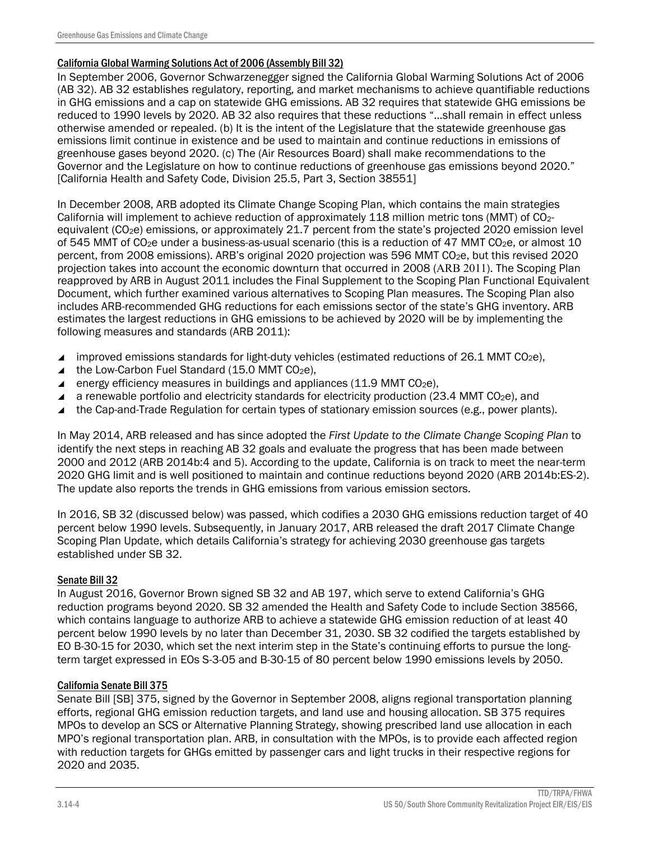### California Global Warming Solutions Act of 2006 (Assembly Bill 32)

In September 2006, Governor Schwarzenegger signed the California Global Warming Solutions Act of 2006 (AB 32). AB 32 establishes regulatory, reporting, and market mechanisms to achieve quantifiable reductions in GHG emissions and a cap on statewide GHG emissions. AB 32 requires that statewide GHG emissions be reduced to 1990 levels by 2020. AB 32 also requires that these reductions "…shall remain in effect unless otherwise amended or repealed. (b) It is the intent of the Legislature that the statewide greenhouse gas emissions limit continue in existence and be used to maintain and continue reductions in emissions of greenhouse gases beyond 2020. (c) The (Air Resources Board) shall make recommendations to the Governor and the Legislature on how to continue reductions of greenhouse gas emissions beyond 2020." [California Health and Safety Code, Division 25.5, Part 3, Section 38551]

In December 2008, ARB adopted its Climate Change Scoping Plan, which contains the main strategies California will implement to achieve reduction of approximately 118 million metric tons (MMT) of CO2 equivalent (CO<sub>2</sub>e) emissions, or approximately 21.7 percent from the state's projected 2020 emission level of 545 MMT of  $CO<sub>2</sub>e$  under a business-as-usual scenario (this is a reduction of 47 MMT CO<sub>2</sub>e, or almost 10 percent, from 2008 emissions). ARB's original 2020 projection was 596 MMT CO2e, but this revised 2020 projection takes into account the economic downturn that occurred in 2008 (ARB 2011). The Scoping Plan reapproved by ARB in August 2011 includes the Final Supplement to the Scoping Plan Functional Equivalent Document, which further examined various alternatives to Scoping Plan measures. The Scoping Plan also includes ARB-recommended GHG reductions for each emissions sector of the state's GHG inventory. ARB estimates the largest reductions in GHG emissions to be achieved by 2020 will be by implementing the following measures and standards (ARB 2011):

- improved emissions standards for light-duty vehicles (estimated reductions of 26.1 MMT CO<sub>2</sub>e),
- $\triangle$  the Low-Carbon Fuel Standard (15.0 MMT CO<sub>2</sub>e).
- energy efficiency measures in buildings and appliances (11.9 MMT  $CO<sub>2</sub>e$ ),
- a renewable portfolio and electricity standards for electricity production (23.4 MMT CO<sub>2</sub>e), and
- ▲ the Cap-and-Trade Regulation for certain types of stationary emission sources (e.g., power plants).

In May 2014, ARB released and has since adopted the *First Update to the Climate Change Scoping Plan* to identify the next steps in reaching AB 32 goals and evaluate the progress that has been made between 2000 and 2012 (ARB 2014b:4 and 5). According to the update, California is on track to meet the near-term 2020 GHG limit and is well positioned to maintain and continue reductions beyond 2020 (ARB 2014b:ES-2). The update also reports the trends in GHG emissions from various emission sectors.

In 2016, SB 32 (discussed below) was passed, which codifies a 2030 GHG emissions reduction target of 40 percent below 1990 levels. Subsequently, in January 2017, ARB released the draft 2017 Climate Change Scoping Plan Update, which details California's strategy for achieving 2030 greenhouse gas targets established under SB 32.

### Senate Bill 32

In August 2016, Governor Brown signed SB 32 and AB 197, which serve to extend California's GHG reduction programs beyond 2020. SB 32 amended the Health and Safety Code to include Section 38566, which contains language to authorize ARB to achieve a statewide GHG emission reduction of at least 40 percent below 1990 levels by no later than December 31, 2030. SB 32 codified the targets established by EO B-30-15 for 2030, which set the next interim step in the State's continuing efforts to pursue the longterm target expressed in EOs S-3-05 and B-30-15 of 80 percent below 1990 emissions levels by 2050.

### California Senate Bill 375

Senate Bill [SB] 375, signed by the Governor in September 2008, aligns regional transportation planning efforts, regional GHG emission reduction targets, and land use and housing allocation. SB 375 requires MPOs to develop an SCS or Alternative Planning Strategy, showing prescribed land use allocation in each MPO's regional transportation plan. ARB, in consultation with the MPOs, is to provide each affected region with reduction targets for GHGs emitted by passenger cars and light trucks in their respective regions for 2020 and 2035.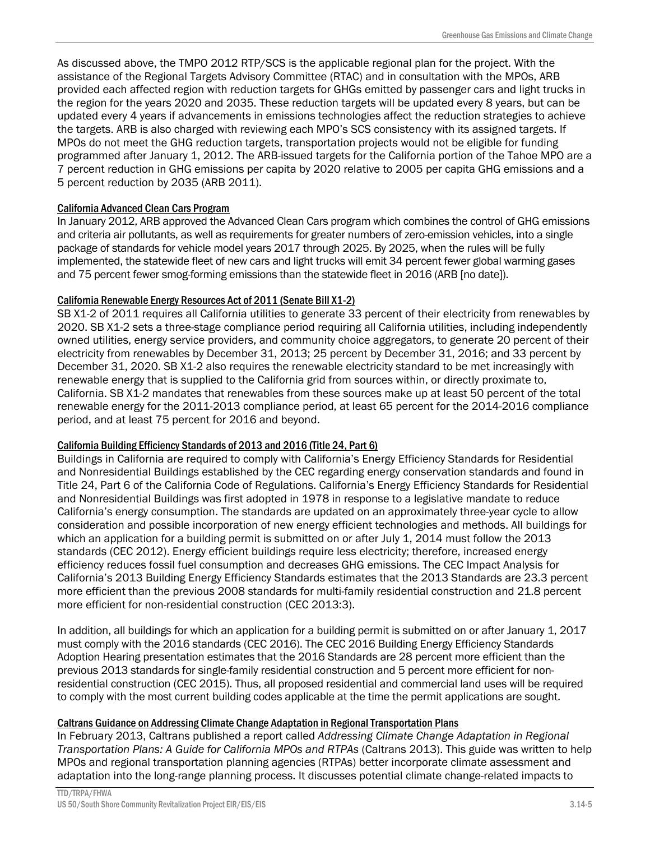As discussed above, the TMPO 2012 RTP/SCS is the applicable regional plan for the project. With the assistance of the Regional Targets Advisory Committee (RTAC) and in consultation with the MPOs, ARB provided each affected region with reduction targets for GHGs emitted by passenger cars and light trucks in the region for the years 2020 and 2035. These reduction targets will be updated every 8 years, but can be updated every 4 years if advancements in emissions technologies affect the reduction strategies to achieve the targets. ARB is also charged with reviewing each MPO's SCS consistency with its assigned targets. If MPOs do not meet the GHG reduction targets, transportation projects would not be eligible for funding programmed after January 1, 2012. The ARB-issued targets for the California portion of the Tahoe MPO are a 7 percent reduction in GHG emissions per capita by 2020 relative to 2005 per capita GHG emissions and a 5 percent reduction by 2035 (ARB 2011).

### California Advanced Clean Cars Program

In January 2012, ARB approved the Advanced Clean Cars program which combines the control of GHG emissions and criteria air pollutants, as well as requirements for greater numbers of zero-emission vehicles, into a single package of standards for vehicle model years 2017 through 2025. By 2025, when the rules will be fully implemented, the statewide fleet of new cars and light trucks will emit 34 percent fewer global warming gases and 75 percent fewer smog-forming emissions than the statewide fleet in 2016 (ARB [no date]).

### California Renewable Energy Resources Act of 2011 (Senate Bill X1-2)

SB X1-2 of 2011 requires all California utilities to generate 33 percent of their electricity from renewables by 2020. SB X1-2 sets a three-stage compliance period requiring all California utilities, including independently owned utilities, energy service providers, and community choice aggregators, to generate 20 percent of their electricity from renewables by December 31, 2013; 25 percent by December 31, 2016; and 33 percent by December 31, 2020. SB X1-2 also requires the renewable electricity standard to be met increasingly with renewable energy that is supplied to the California grid from sources within, or directly proximate to, California. SB X1-2 mandates that renewables from these sources make up at least 50 percent of the total renewable energy for the 2011-2013 compliance period, at least 65 percent for the 2014-2016 compliance period, and at least 75 percent for 2016 and beyond.

### California Building Efficiency Standards of 2013 and 2016 (Title 24, Part 6)

Buildings in California are required to comply with California's Energy Efficiency Standards for Residential and Nonresidential Buildings established by the CEC regarding energy conservation standards and found in Title 24, Part 6 of the California Code of Regulations. California's Energy Efficiency Standards for Residential and Nonresidential Buildings was first adopted in 1978 in response to a legislative mandate to reduce California's energy consumption. The standards are updated on an approximately three-year cycle to allow consideration and possible incorporation of new energy efficient technologies and methods. All buildings for which an application for a building permit is submitted on or after July 1, 2014 must follow the 2013 standards (CEC 2012). Energy efficient buildings require less electricity; therefore, increased energy efficiency reduces fossil fuel consumption and decreases GHG emissions. The CEC Impact Analysis for California's 2013 Building Energy Efficiency Standards estimates that the 2013 Standards are 23.3 percent more efficient than the previous 2008 standards for multi-family residential construction and 21.8 percent more efficient for non-residential construction (CEC 2013:3).

In addition, all buildings for which an application for a building permit is submitted on or after January 1, 2017 must comply with the 2016 standards (CEC 2016). The CEC 2016 Building Energy Efficiency Standards Adoption Hearing presentation estimates that the 2016 Standards are 28 percent more efficient than the previous 2013 standards for single-family residential construction and 5 percent more efficient for nonresidential construction (CEC 2015). Thus, all proposed residential and commercial land uses will be required to comply with the most current building codes applicable at the time the permit applications are sought.

### Caltrans Guidance on Addressing Climate Change Adaptation in Regional Transportation Plans

In February 2013, Caltrans published a report called *Addressing Climate Change Adaptation in Regional Transportation Plans: A Guide for California MPOs and RTPAs* (Caltrans 2013). This guide was written to help MPOs and regional transportation planning agencies (RTPAs) better incorporate climate assessment and adaptation into the long-range planning process. It discusses potential climate change-related impacts to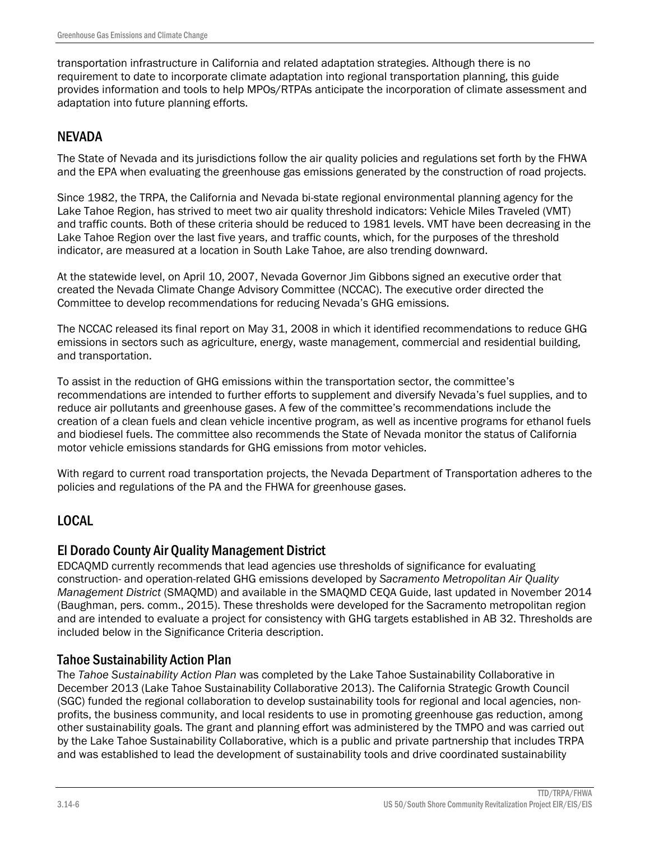transportation infrastructure in California and related adaptation strategies. Although there is no requirement to date to incorporate climate adaptation into regional transportation planning, this guide provides information and tools to help MPOs/RTPAs anticipate the incorporation of climate assessment and adaptation into future planning efforts.

### NEVADA

The State of Nevada and its jurisdictions follow the air quality policies and regulations set forth by the FHWA and the EPA when evaluating the greenhouse gas emissions generated by the construction of road projects.

Since 1982, the TRPA, the California and Nevada bi-state regional environmental planning agency for the Lake Tahoe Region, has strived to meet two air quality threshold indicators: Vehicle Miles Traveled (VMT) and traffic counts. Both of these criteria should be reduced to 1981 levels. VMT have been decreasing in the Lake Tahoe Region over the last five years, and traffic counts, which, for the purposes of the threshold indicator, are measured at a location in South Lake Tahoe, are also trending downward.

At the statewide level, on April 10, 2007, Nevada Governor Jim Gibbons signed an executive order that created the Nevada Climate Change Advisory Committee (NCCAC). The executive order directed the Committee to develop recommendations for reducing Nevada's GHG emissions.

The NCCAC released its final report on May 31, 2008 in which it identified recommendations to reduce GHG emissions in sectors such as agriculture, energy, waste management, commercial and residential building, and transportation.

To assist in the reduction of GHG emissions within the transportation sector, the committee's recommendations are intended to further efforts to supplement and diversify Nevada's fuel supplies, and to reduce air pollutants and greenhouse gases. A few of the committee's recommendations include the creation of a clean fuels and clean vehicle incentive program, as well as incentive programs for ethanol fuels and biodiesel fuels. The committee also recommends the State of Nevada monitor the status of California motor vehicle emissions standards for GHG emissions from motor vehicles.

With regard to current road transportation projects, the Nevada Department of Transportation adheres to the policies and regulations of the PA and the FHWA for greenhouse gases.

### LOCAL

### El Dorado County Air Quality Management District

EDCAQMD currently recommends that lead agencies use thresholds of significance for evaluating construction- and operation-related GHG emissions developed by *Sacramento Metropolitan Air Quality Management District* (SMAQMD) and available in the SMAQMD CEQA Guide, last updated in November 2014 (Baughman, pers. comm., 2015). These thresholds were developed for the Sacramento metropolitan region and are intended to evaluate a project for consistency with GHG targets established in AB 32. Thresholds are included below in the Significance Criteria description.

### Tahoe Sustainability Action Plan

The *Tahoe Sustainability Action Plan* was completed by the Lake Tahoe Sustainability Collaborative in December 2013 (Lake Tahoe Sustainability Collaborative 2013). The California Strategic Growth Council (SGC) funded the regional collaboration to develop sustainability tools for regional and local agencies, nonprofits, the business community, and local residents to use in promoting greenhouse gas reduction, among other sustainability goals. The grant and planning effort was administered by the TMPO and was carried out by the Lake Tahoe Sustainability Collaborative, which is a public and private partnership that includes TRPA and was established to lead the development of sustainability tools and drive coordinated sustainability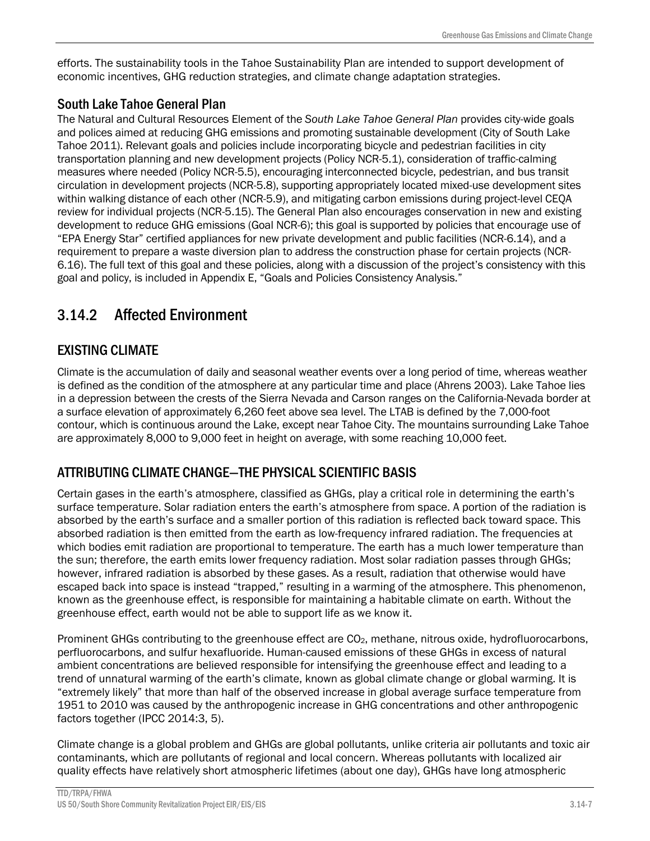efforts. The sustainability tools in the Tahoe Sustainability Plan are intended to support development of economic incentives, GHG reduction strategies, and climate change adaptation strategies.

## South Lake Tahoe General Plan

The Natural and Cultural Resources Element of the *South Lake Tahoe General Plan* provides city-wide goals and polices aimed at reducing GHG emissions and promoting sustainable development (City of South Lake Tahoe 2011). Relevant goals and policies include incorporating bicycle and pedestrian facilities in city transportation planning and new development projects (Policy NCR-5.1), consideration of traffic-calming measures where needed (Policy NCR-5.5), encouraging interconnected bicycle, pedestrian, and bus transit circulation in development projects (NCR-5.8), supporting appropriately located mixed-use development sites within walking distance of each other (NCR-5.9), and mitigating carbon emissions during project-level CEQA review for individual projects (NCR-5.15). The General Plan also encourages conservation in new and existing development to reduce GHG emissions (Goal NCR-6); this goal is supported by policies that encourage use of "EPA Energy Star" certified appliances for new private development and public facilities (NCR-6.14), and a requirement to prepare a waste diversion plan to address the construction phase for certain projects (NCR-6.16). The full text of this goal and these policies, along with a discussion of the project's consistency with this goal and policy, is included in Appendix E, "Goals and Policies Consistency Analysis."

# 3.14.2 Affected Environment

# EXISTING CLIMATE

Climate is the accumulation of daily and seasonal weather events over a long period of time, whereas weather is defined as the condition of the atmosphere at any particular time and place (Ahrens 2003). Lake Tahoe lies in a depression between the crests of the Sierra Nevada and Carson ranges on the California-Nevada border at a surface elevation of approximately 6,260 feet above sea level. The LTAB is defined by the 7,000-foot contour, which is continuous around the Lake, except near Tahoe City. The mountains surrounding Lake Tahoe are approximately 8,000 to 9,000 feet in height on average, with some reaching 10,000 feet.

# ATTRIBUTING CLIMATE CHANGE―THE PHYSICAL SCIENTIFIC BASIS

Certain gases in the earth's atmosphere, classified as GHGs, play a critical role in determining the earth's surface temperature. Solar radiation enters the earth's atmosphere from space. A portion of the radiation is absorbed by the earth's surface and a smaller portion of this radiation is reflected back toward space. This absorbed radiation is then emitted from the earth as low-frequency infrared radiation. The frequencies at which bodies emit radiation are proportional to temperature. The earth has a much lower temperature than the sun; therefore, the earth emits lower frequency radiation. Most solar radiation passes through GHGs; however, infrared radiation is absorbed by these gases. As a result, radiation that otherwise would have escaped back into space is instead "trapped," resulting in a warming of the atmosphere. This phenomenon, known as the greenhouse effect, is responsible for maintaining a habitable climate on earth. Without the greenhouse effect, earth would not be able to support life as we know it.

Prominent GHGs contributing to the greenhouse effect are CO<sub>2</sub>, methane, nitrous oxide, hydrofluorocarbons, perfluorocarbons, and sulfur hexafluoride. Human-caused emissions of these GHGs in excess of natural ambient concentrations are believed responsible for intensifying the greenhouse effect and leading to a trend of unnatural warming of the earth's climate, known as global climate change or global warming. It is "extremely likely" that more than half of the observed increase in global average surface temperature from 1951 to 2010 was caused by the anthropogenic increase in GHG concentrations and other anthropogenic factors together (IPCC 2014:3, 5).

Climate change is a global problem and GHGs are global pollutants, unlike criteria air pollutants and toxic air contaminants, which are pollutants of regional and local concern. Whereas pollutants with localized air quality effects have relatively short atmospheric lifetimes (about one day), GHGs have long atmospheric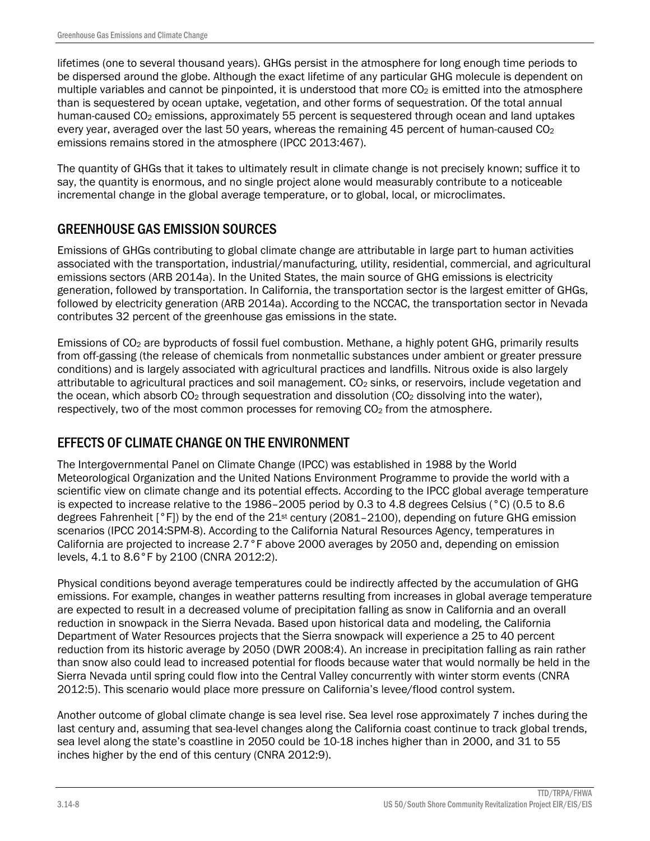lifetimes (one to several thousand years). GHGs persist in the atmosphere for long enough time periods to be dispersed around the globe. Although the exact lifetime of any particular GHG molecule is dependent on multiple variables and cannot be pinpointed, it is understood that more CO<sub>2</sub> is emitted into the atmosphere than is sequestered by ocean uptake, vegetation, and other forms of sequestration. Of the total annual human-caused CO<sub>2</sub> emissions, approximately 55 percent is sequestered through ocean and land uptakes every year, averaged over the last 50 years, whereas the remaining 45 percent of human-caused  $CO<sub>2</sub>$ emissions remains stored in the atmosphere (IPCC 2013:467).

The quantity of GHGs that it takes to ultimately result in climate change is not precisely known; suffice it to say, the quantity is enormous, and no single project alone would measurably contribute to a noticeable incremental change in the global average temperature, or to global, local, or microclimates.

# GREENHOUSE GAS EMISSION SOURCES

Emissions of GHGs contributing to global climate change are attributable in large part to human activities associated with the transportation, industrial/manufacturing, utility, residential, commercial, and agricultural emissions sectors (ARB 2014a). In the United States, the main source of GHG emissions is electricity generation, followed by transportation. In California, the transportation sector is the largest emitter of GHGs, followed by electricity generation (ARB 2014a). According to the NCCAC, the transportation sector in Nevada contributes 32 percent of the greenhouse gas emissions in the state.

Emissions of CO2 are byproducts of fossil fuel combustion. Methane, a highly potent GHG, primarily results from off-gassing (the release of chemicals from nonmetallic substances under ambient or greater pressure conditions) and is largely associated with agricultural practices and landfills. Nitrous oxide is also largely attributable to agricultural practices and soil management. CO<sub>2</sub> sinks, or reservoirs, include vegetation and the ocean, which absorb  $CO<sub>2</sub>$  through sequestration and dissolution ( $CO<sub>2</sub>$  dissolving into the water), respectively, two of the most common processes for removing CO<sub>2</sub> from the atmosphere.

# EFFECTS OF CLIMATE CHANGE ON THE ENVIRONMENT

The Intergovernmental Panel on Climate Change (IPCC) was established in 1988 by the World Meteorological Organization and the United Nations Environment Programme to provide the world with a scientific view on climate change and its potential effects. According to the IPCC global average temperature is expected to increase relative to the 1986–2005 period by 0.3 to 4.8 degrees Celsius (°C) (0.5 to 8.6 degrees Fahrenheit [°F]) by the end of the 21st century (2081–2100), depending on future GHG emission scenarios (IPCC 2014:SPM-8). According to the California Natural Resources Agency, temperatures in California are projected to increase 2.7°F above 2000 averages by 2050 and, depending on emission levels, 4.1 to 8.6°F by 2100 (CNRA 2012:2).

Physical conditions beyond average temperatures could be indirectly affected by the accumulation of GHG emissions. For example, changes in weather patterns resulting from increases in global average temperature are expected to result in a decreased volume of precipitation falling as snow in California and an overall reduction in snowpack in the Sierra Nevada. Based upon historical data and modeling, the California Department of Water Resources projects that the Sierra snowpack will experience a 25 to 40 percent reduction from its historic average by 2050 (DWR 2008:4). An increase in precipitation falling as rain rather than snow also could lead to increased potential for floods because water that would normally be held in the Sierra Nevada until spring could flow into the Central Valley concurrently with winter storm events (CNRA 2012:5). This scenario would place more pressure on California's levee/flood control system.

Another outcome of global climate change is sea level rise. Sea level rose approximately 7 inches during the last century and, assuming that sea-level changes along the California coast continue to track global trends, sea level along the state's coastline in 2050 could be 10-18 inches higher than in 2000, and 31 to 55 inches higher by the end of this century (CNRA 2012:9).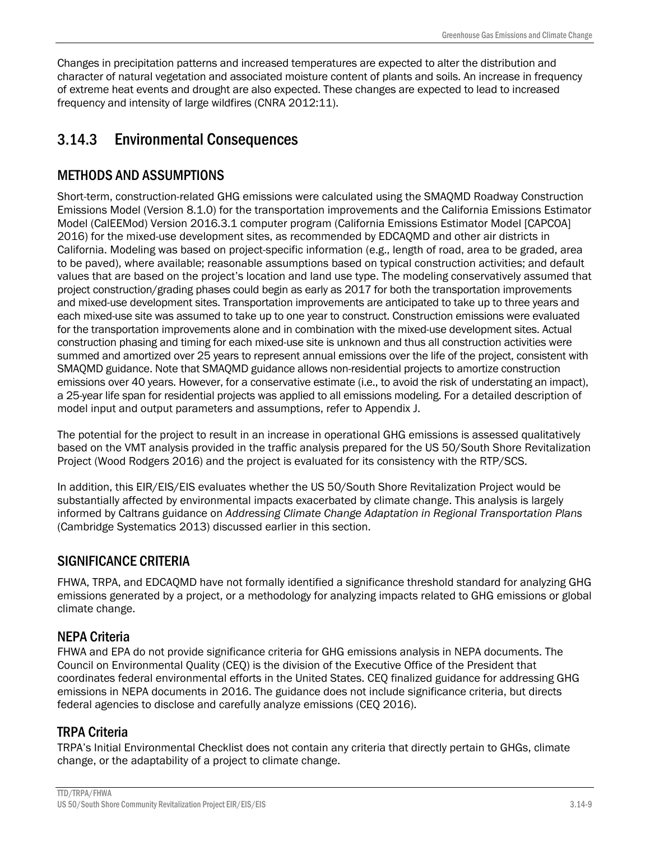Changes in precipitation patterns and increased temperatures are expected to alter the distribution and character of natural vegetation and associated moisture content of plants and soils. An increase in frequency of extreme heat events and drought are also expected. These changes are expected to lead to increased frequency and intensity of large wildfires (CNRA 2012:11).

# 3.14.3 Environmental Consequences

# METHODS AND ASSUMPTIONS

Short-term, construction-related GHG emissions were calculated using the SMAQMD Roadway Construction Emissions Model (Version 8.1.0) for the transportation improvements and the California Emissions Estimator Model (CalEEMod) Version 2016.3.1 computer program (California Emissions Estimator Model [CAPCOA] 2016) for the mixed-use development sites, as recommended by EDCAQMD and other air districts in California. Modeling was based on project-specific information (e.g., length of road, area to be graded, area to be paved), where available; reasonable assumptions based on typical construction activities; and default values that are based on the project's location and land use type. The modeling conservatively assumed that project construction/grading phases could begin as early as 2017 for both the transportation improvements and mixed-use development sites. Transportation improvements are anticipated to take up to three years and each mixed-use site was assumed to take up to one year to construct. Construction emissions were evaluated for the transportation improvements alone and in combination with the mixed-use development sites. Actual construction phasing and timing for each mixed-use site is unknown and thus all construction activities were summed and amortized over 25 years to represent annual emissions over the life of the project, consistent with SMAQMD guidance. Note that SMAQMD guidance allows non-residential projects to amortize construction emissions over 40 years. However, for a conservative estimate (i.e., to avoid the risk of understating an impact), a 25-year life span for residential projects was applied to all emissions modeling. For a detailed description of model input and output parameters and assumptions, refer to Appendix J.

The potential for the project to result in an increase in operational GHG emissions is assessed qualitatively based on the VMT analysis provided in the traffic analysis prepared for the US 50/South Shore Revitalization Project (Wood Rodgers 2016) and the project is evaluated for its consistency with the RTP/SCS.

In addition, this EIR/EIS/EIS evaluates whether the US 50/South Shore Revitalization Project would be substantially affected by environmental impacts exacerbated by climate change. This analysis is largely informed by Caltrans guidance on *Addressing Climate Change Adaptation in Regional Transportation Plans* (Cambridge Systematics 2013) discussed earlier in this section.

# SIGNIFICANCE CRITERIA

FHWA, TRPA, and EDCAQMD have not formally identified a significance threshold standard for analyzing GHG emissions generated by a project, or a methodology for analyzing impacts related to GHG emissions or global climate change.

# NEPA Criteria

FHWA and EPA do not provide significance criteria for GHG emissions analysis in NEPA documents. The Council on Environmental Quality (CEQ) is the division of the Executive Office of the President that coordinates federal environmental efforts in the United States. CEQ finalized guidance for addressing GHG emissions in NEPA documents in 2016. The guidance does not include significance criteria, but directs federal agencies to disclose and carefully analyze emissions (CEQ 2016).

# TRPA Criteria

TRPA's Initial Environmental Checklist does not contain any criteria that directly pertain to GHGs, climate change, or the adaptability of a project to climate change.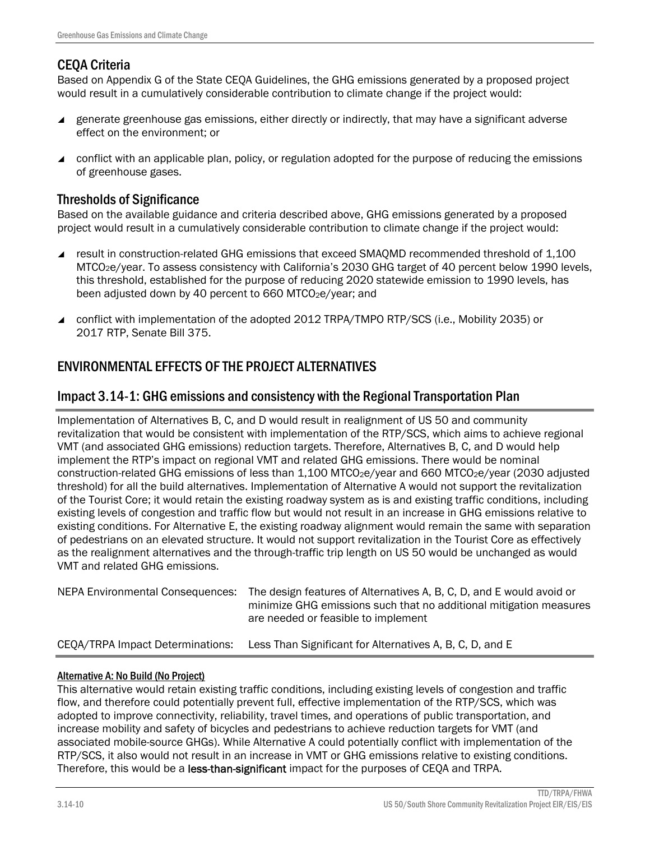# CEQA Criteria

Based on Appendix G of the State CEQA Guidelines, the GHG emissions generated by a proposed project would result in a cumulatively considerable contribution to climate change if the project would:

- generate greenhouse gas emissions, either directly or indirectly, that may have a significant adverse effect on the environment; or
- conflict with an applicable plan, policy, or regulation adopted for the purpose of reducing the emissions of greenhouse gases.

### Thresholds of Significance

Based on the available guidance and criteria described above, GHG emissions generated by a proposed project would result in a cumulatively considerable contribution to climate change if the project would:

- result in construction-related GHG emissions that exceed SMAOMD recommended threshold of 1,100 MTCO2e/year. To assess consistency with California's 2030 GHG target of 40 percent below 1990 levels, this threshold, established for the purpose of reducing 2020 statewide emission to 1990 levels, has been adjusted down by 40 percent to 660 MTCO<sub>2</sub>e/year; and
- conflict with implementation of the adopted 2012 TRPA/TMPO RTP/SCS (i.e., Mobility 2035) or 2017 RTP, Senate Bill 375.

# ENVIRONMENTAL EFFECTS OF THE PROJECT ALTERNATIVES

### Impact 3.14-1: GHG emissions and consistency with the Regional Transportation Plan

Implementation of Alternatives B, C, and D would result in realignment of US 50 and community revitalization that would be consistent with implementation of the RTP/SCS, which aims to achieve regional VMT (and associated GHG emissions) reduction targets. Therefore, Alternatives B, C, and D would help implement the RTP's impact on regional VMT and related GHG emissions. There would be nominal construction-related GHG emissions of less than 1,100 MTCO<sub>2</sub>e/year and 660 MTCO<sub>2</sub>e/year (2030 adjusted threshold) for all the build alternatives. Implementation of Alternative A would not support the revitalization of the Tourist Core; it would retain the existing roadway system as is and existing traffic conditions, including existing levels of congestion and traffic flow but would not result in an increase in GHG emissions relative to existing conditions. For Alternative E, the existing roadway alignment would remain the same with separation of pedestrians on an elevated structure. It would not support revitalization in the Tourist Core as effectively as the realignment alternatives and the through-traffic trip length on US 50 would be unchanged as would VMT and related GHG emissions.

| NEPA Environmental Consequences: | The design features of Alternatives A, B, C, D, and E would avoid or<br>minimize GHG emissions such that no additional mitigation measures<br>are needed or feasible to implement |
|----------------------------------|-----------------------------------------------------------------------------------------------------------------------------------------------------------------------------------|
| CEQA/TRPA Impact Determinations: | Less Than Significant for Alternatives A, B, C, D, and E                                                                                                                          |

### Alternative A: No Build (No Project)

This alternative would retain existing traffic conditions, including existing levels of congestion and traffic flow, and therefore could potentially prevent full, effective implementation of the RTP/SCS, which was adopted to improve connectivity, reliability, travel times, and operations of public transportation, and increase mobility and safety of bicycles and pedestrians to achieve reduction targets for VMT (and associated mobile-source GHGs). While Alternative A could potentially conflict with implementation of the RTP/SCS, it also would not result in an increase in VMT or GHG emissions relative to existing conditions. Therefore, this would be a less-than-significant impact for the purposes of CEQA and TRPA.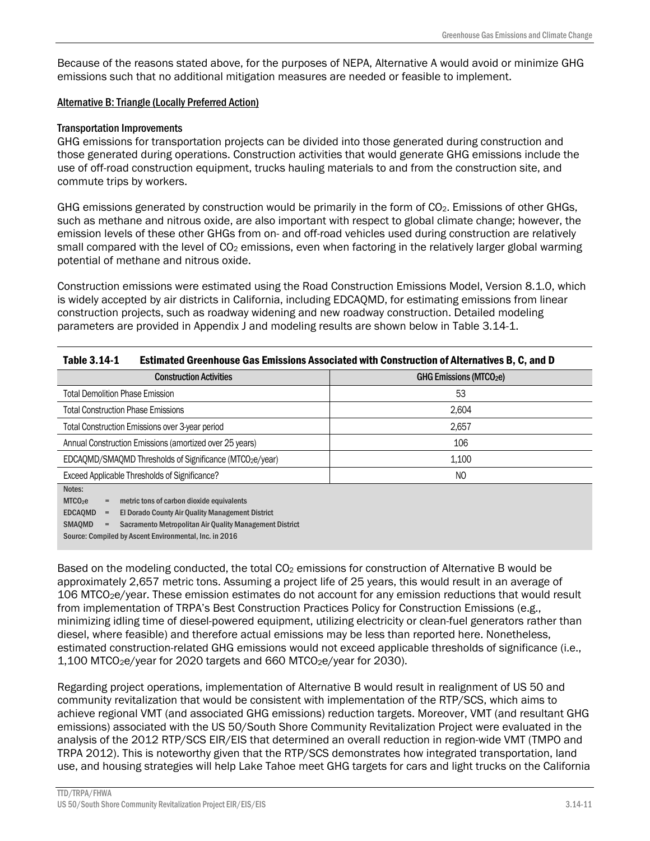Because of the reasons stated above, for the purposes of NEPA, Alternative A would avoid or minimize GHG emissions such that no additional mitigation measures are needed or feasible to implement.

### Alternative B: Triangle (Locally Preferred Action)

### Transportation Improvements

GHG emissions for transportation projects can be divided into those generated during construction and those generated during operations. Construction activities that would generate GHG emissions include the use of off-road construction equipment, trucks hauling materials to and from the construction site, and commute trips by workers.

GHG emissions generated by construction would be primarily in the form of  $CO<sub>2</sub>$ . Emissions of other GHGs, such as methane and nitrous oxide, are also important with respect to global climate change; however, the emission levels of these other GHGs from on- and off-road vehicles used during construction are relatively small compared with the level of  $CO<sub>2</sub>$  emissions, even when factoring in the relatively larger global warming potential of methane and nitrous oxide.

Construction emissions were estimated using the Road Construction Emissions Model, Version 8.1.0, which is widely accepted by air districts in California, including EDCAQMD, for estimating emissions from linear construction projects, such as roadway widening and new roadway construction. Detailed modeling parameters are provided in Appendix J and modeling results are shown below in Table 3.14-1.

| Estimated Greenhouse Gas Emissions Associated with Construction of Alternatives B, C, and D<br>Table 3.14-1 |                                     |  |
|-------------------------------------------------------------------------------------------------------------|-------------------------------------|--|
| <b>Construction Activities</b>                                                                              | GHG Emissions (MTCO <sub>2</sub> e) |  |
| <b>Total Demolition Phase Emission</b>                                                                      | 53                                  |  |
| <b>Total Construction Phase Emissions</b>                                                                   | 2.604                               |  |
| Total Construction Emissions over 3-year period                                                             | 2,657                               |  |
| Annual Construction Emissions (amortized over 25 years)                                                     | 106                                 |  |
| EDCAQMD/SMAQMD Thresholds of Significance (MTCO2e/year)                                                     | 1.100                               |  |
| Exceed Applicable Thresholds of Significance?                                                               | NO                                  |  |
| Notes:                                                                                                      |                                     |  |
| MTCO <sub>2</sub> e<br>metric tons of carbon dioxide equivalents                                            |                                     |  |
| <b>EDCAOMD</b><br>El Dorado County Air Quality Management District                                          |                                     |  |
| <b>SMAQMD</b><br>Sacramento Metropolitan Air Quality Management District                                    |                                     |  |

Source: Compiled by Ascent Environmental, Inc. in 2016

Based on the modeling conducted, the total  $CO<sub>2</sub>$  emissions for construction of Alternative B would be approximately 2,657 metric tons. Assuming a project life of 25 years, this would result in an average of 106 MTCO2e/year. These emission estimates do not account for any emission reductions that would result from implementation of TRPA's Best Construction Practices Policy for Construction Emissions (e.g., minimizing idling time of diesel-powered equipment, utilizing electricity or clean-fuel generators rather than diesel, where feasible) and therefore actual emissions may be less than reported here. Nonetheless, estimated construction-related GHG emissions would not exceed applicable thresholds of significance (i.e., 1,100 MTCO2e/year for 2020 targets and 660 MTCO2e/year for 2030).

Regarding project operations, implementation of Alternative B would result in realignment of US 50 and community revitalization that would be consistent with implementation of the RTP/SCS, which aims to achieve regional VMT (and associated GHG emissions) reduction targets. Moreover, VMT (and resultant GHG emissions) associated with the US 50/South Shore Community Revitalization Project were evaluated in the analysis of the 2012 RTP/SCS EIR/EIS that determined an overall reduction in region-wide VMT (TMPO and TRPA 2012). This is noteworthy given that the RTP/SCS demonstrates how integrated transportation, land use, and housing strategies will help Lake Tahoe meet GHG targets for cars and light trucks on the California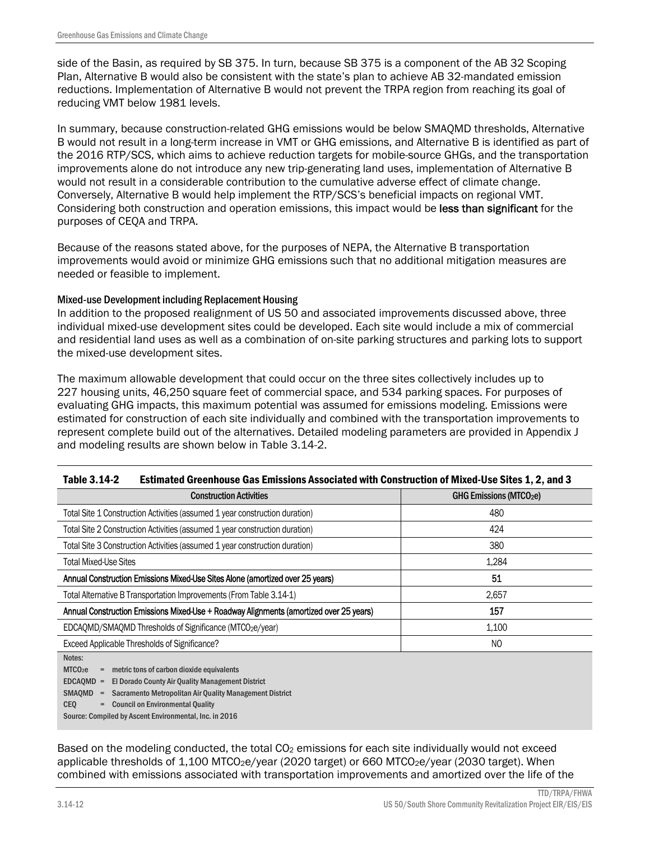side of the Basin, as required by SB 375. In turn, because SB 375 is a component of the AB 32 Scoping Plan, Alternative B would also be consistent with the state's plan to achieve AB 32-mandated emission reductions. Implementation of Alternative B would not prevent the TRPA region from reaching its goal of reducing VMT below 1981 levels.

In summary, because construction-related GHG emissions would be below SMAQMD thresholds, Alternative B would not result in a long-term increase in VMT or GHG emissions, and Alternative B is identified as part of the 2016 RTP/SCS, which aims to achieve reduction targets for mobile-source GHGs, and the transportation improvements alone do not introduce any new trip-generating land uses, implementation of Alternative B would not result in a considerable contribution to the cumulative adverse effect of climate change. Conversely, Alternative B would help implement the RTP/SCS's beneficial impacts on regional VMT. Considering both construction and operation emissions, this impact would be less than significant for the purposes of CEQA and TRPA.

Because of the reasons stated above, for the purposes of NEPA, the Alternative B transportation improvements would avoid or minimize GHG emissions such that no additional mitigation measures are needed or feasible to implement.

### Mixed-use Development including Replacement Housing

In addition to the proposed realignment of US 50 and associated improvements discussed above, three individual mixed-use development sites could be developed. Each site would include a mix of commercial and residential land uses as well as a combination of on-site parking structures and parking lots to support the mixed-use development sites.

The maximum allowable development that could occur on the three sites collectively includes up to 227 housing units, 46,250 square feet of commercial space, and 534 parking spaces. For purposes of evaluating GHG impacts, this maximum potential was assumed for emissions modeling. Emissions were estimated for construction of each site individually and combined with the transportation improvements to represent complete build out of the alternatives. Detailed modeling parameters are provided in Appendix J and modeling results are shown below in Table 3.14-2.

| 1abie 3.14-2<br>ESTIMATED Greenhouse Gas Emissions Associated With Construction of Wixed-Use Sites 1, 2, and 3 |                               |  |
|----------------------------------------------------------------------------------------------------------------|-------------------------------|--|
| <b>Construction Activities</b>                                                                                 | <b>GHG Emissions (MTCO2e)</b> |  |
| Total Site 1 Construction Activities (assumed 1 year construction duration)                                    | 480                           |  |
| Total Site 2 Construction Activities (assumed 1 year construction duration)                                    | 424                           |  |
| Total Site 3 Construction Activities (assumed 1 year construction duration)                                    | 380                           |  |
| <b>Total Mixed-Use Sites</b>                                                                                   | 1,284                         |  |
| Annual Construction Emissions Mixed-Use Sites Alone (amortized over 25 years)                                  | 51                            |  |
| Total Alternative B Transportation Improvements (From Table 3.14-1)                                            | 2.657                         |  |
| Annual Construction Emissions Mixed-Use + Roadway Alignments (amortized over 25 years)                         | 157                           |  |
| EDCAQMD/SMAQMD Thresholds of Significance (MTCO2e/year)                                                        | 1.100                         |  |
| Exceed Applicable Thresholds of Significance?                                                                  | NO.                           |  |
| Notes:                                                                                                         |                               |  |

### Table 3.14-2 Estimated Greenhouse Gas Emissions Associated with Construction of Mixed-Use Sites 1, 2, and 3

 $MTCO<sub>2</sub>e =$  metric tons of carbon dioxide equivalents EDCAQMD = El Dorado County Air Quality Management District SMAQMD = Sacramento Metropolitan Air Quality Management District

 $CFO =$  Council on Environmental Quality

Source: Compiled by Ascent Environmental, Inc. in 2016

Based on the modeling conducted, the total CO<sub>2</sub> emissions for each site individually would not exceed applicable thresholds of  $1,100$  MTCO<sub>2</sub>e/year (2020 target) or 660 MTCO<sub>2</sub>e/year (2030 target). When combined with emissions associated with transportation improvements and amortized over the life of the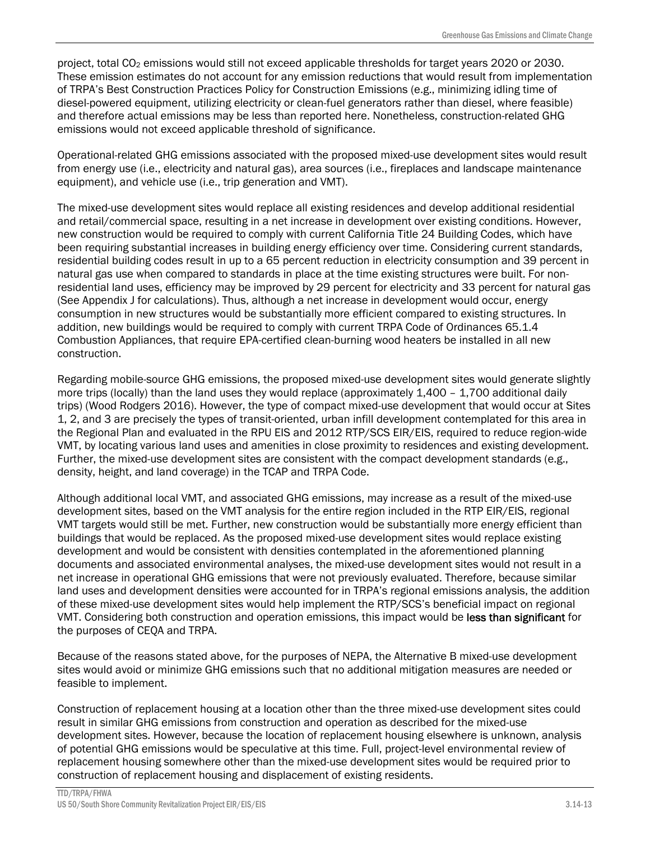project, total CO2 emissions would still not exceed applicable thresholds for target years 2020 or 2030. These emission estimates do not account for any emission reductions that would result from implementation of TRPA's Best Construction Practices Policy for Construction Emissions (e.g., minimizing idling time of diesel-powered equipment, utilizing electricity or clean-fuel generators rather than diesel, where feasible) and therefore actual emissions may be less than reported here. Nonetheless, construction-related GHG emissions would not exceed applicable threshold of significance.

Operational-related GHG emissions associated with the proposed mixed-use development sites would result from energy use (i.e., electricity and natural gas), area sources (i.e., fireplaces and landscape maintenance equipment), and vehicle use (i.e., trip generation and VMT).

The mixed-use development sites would replace all existing residences and develop additional residential and retail/commercial space, resulting in a net increase in development over existing conditions. However, new construction would be required to comply with current California Title 24 Building Codes, which have been requiring substantial increases in building energy efficiency over time. Considering current standards, residential building codes result in up to a 65 percent reduction in electricity consumption and 39 percent in natural gas use when compared to standards in place at the time existing structures were built. For nonresidential land uses, efficiency may be improved by 29 percent for electricity and 33 percent for natural gas (See Appendix J for calculations). Thus, although a net increase in development would occur, energy consumption in new structures would be substantially more efficient compared to existing structures. In addition, new buildings would be required to comply with current TRPA Code of Ordinances 65.1.4 Combustion Appliances, that require EPA-certified clean-burning wood heaters be installed in all new construction.

Regarding mobile-source GHG emissions, the proposed mixed-use development sites would generate slightly more trips (locally) than the land uses they would replace (approximately 1,400 - 1,700 additional daily trips) (Wood Rodgers 2016). However, the type of compact mixed-use development that would occur at Sites 1, 2, and 3 are precisely the types of transit-oriented, urban infill development contemplated for this area in the Regional Plan and evaluated in the RPU EIS and 2012 RTP/SCS EIR/EIS, required to reduce region-wide VMT, by locating various land uses and amenities in close proximity to residences and existing development. Further, the mixed-use development sites are consistent with the compact development standards (e.g., density, height, and land coverage) in the TCAP and TRPA Code.

Although additional local VMT, and associated GHG emissions, may increase as a result of the mixed-use development sites, based on the VMT analysis for the entire region included in the RTP EIR/EIS, regional VMT targets would still be met. Further, new construction would be substantially more energy efficient than buildings that would be replaced. As the proposed mixed-use development sites would replace existing development and would be consistent with densities contemplated in the aforementioned planning documents and associated environmental analyses, the mixed-use development sites would not result in a net increase in operational GHG emissions that were not previously evaluated. Therefore, because similar land uses and development densities were accounted for in TRPA's regional emissions analysis, the addition of these mixed-use development sites would help implement the RTP/SCS's beneficial impact on regional VMT. Considering both construction and operation emissions, this impact would be less than significant for the purposes of CEQA and TRPA.

Because of the reasons stated above, for the purposes of NEPA, the Alternative B mixed-use development sites would avoid or minimize GHG emissions such that no additional mitigation measures are needed or feasible to implement.

Construction of replacement housing at a location other than the three mixed-use development sites could result in similar GHG emissions from construction and operation as described for the mixed-use development sites. However, because the location of replacement housing elsewhere is unknown, analysis of potential GHG emissions would be speculative at this time. Full, project-level environmental review of replacement housing somewhere other than the mixed-use development sites would be required prior to construction of replacement housing and displacement of existing residents.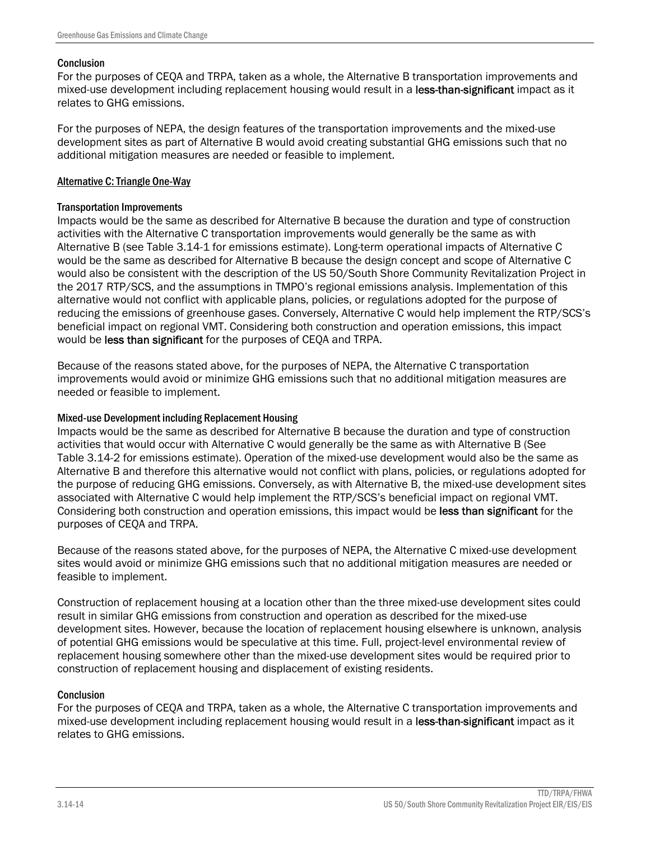#### **Conclusion**

For the purposes of CEQA and TRPA, taken as a whole, the Alternative B transportation improvements and mixed-use development including replacement housing would result in a less-than-significant impact as it relates to GHG emissions.

For the purposes of NEPA, the design features of the transportation improvements and the mixed-use development sites as part of Alternative B would avoid creating substantial GHG emissions such that no additional mitigation measures are needed or feasible to implement.

#### Alternative C: Triangle One-Way

#### Transportation Improvements

Impacts would be the same as described for Alternative B because the duration and type of construction activities with the Alternative C transportation improvements would generally be the same as with Alternative B (see Table 3.14-1 for emissions estimate). Long-term operational impacts of Alternative C would be the same as described for Alternative B because the design concept and scope of Alternative C would also be consistent with the description of the US 50/South Shore Community Revitalization Project in the 2017 RTP/SCS, and the assumptions in TMPO's regional emissions analysis. Implementation of this alternative would not conflict with applicable plans, policies, or regulations adopted for the purpose of reducing the emissions of greenhouse gases. Conversely, Alternative C would help implement the RTP/SCS's beneficial impact on regional VMT. Considering both construction and operation emissions, this impact would be less than significant for the purposes of CEQA and TRPA.

Because of the reasons stated above, for the purposes of NEPA, the Alternative C transportation improvements would avoid or minimize GHG emissions such that no additional mitigation measures are needed or feasible to implement.

#### Mixed-use Development including Replacement Housing

Impacts would be the same as described for Alternative B because the duration and type of construction activities that would occur with Alternative C would generally be the same as with Alternative B (See Table 3.14-2 for emissions estimate). Operation of the mixed-use development would also be the same as Alternative B and therefore this alternative would not conflict with plans, policies, or regulations adopted for the purpose of reducing GHG emissions. Conversely, as with Alternative B, the mixed-use development sites associated with Alternative C would help implement the RTP/SCS's beneficial impact on regional VMT. Considering both construction and operation emissions, this impact would be less than significant for the purposes of CEQA and TRPA.

Because of the reasons stated above, for the purposes of NEPA, the Alternative C mixed-use development sites would avoid or minimize GHG emissions such that no additional mitigation measures are needed or feasible to implement.

Construction of replacement housing at a location other than the three mixed-use development sites could result in similar GHG emissions from construction and operation as described for the mixed-use development sites. However, because the location of replacement housing elsewhere is unknown, analysis of potential GHG emissions would be speculative at this time. Full, project-level environmental review of replacement housing somewhere other than the mixed-use development sites would be required prior to construction of replacement housing and displacement of existing residents.

### **Conclusion**

For the purposes of CEQA and TRPA, taken as a whole, the Alternative C transportation improvements and mixed-use development including replacement housing would result in a less-than-significant impact as it relates to GHG emissions.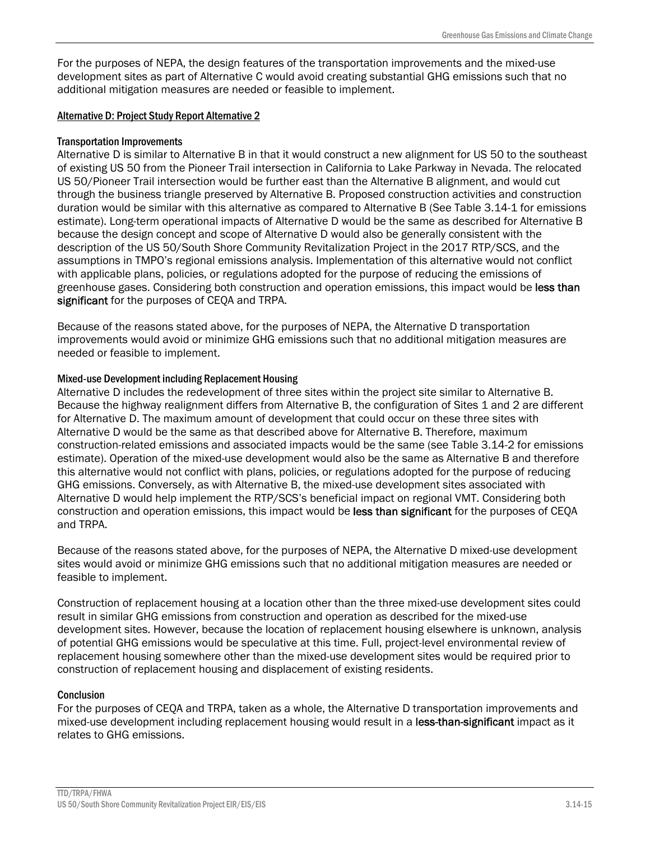For the purposes of NEPA, the design features of the transportation improvements and the mixed-use development sites as part of Alternative C would avoid creating substantial GHG emissions such that no additional mitigation measures are needed or feasible to implement.

### Alternative D: Project Study Report Alternative 2

#### Transportation Improvements

Alternative D is similar to Alternative B in that it would construct a new alignment for US 50 to the southeast of existing US 50 from the Pioneer Trail intersection in California to Lake Parkway in Nevada. The relocated US 50/Pioneer Trail intersection would be further east than the Alternative B alignment, and would cut through the business triangle preserved by Alternative B. Proposed construction activities and construction duration would be similar with this alternative as compared to Alternative B (See Table 3.14-1 for emissions estimate). Long-term operational impacts of Alternative D would be the same as described for Alternative B because the design concept and scope of Alternative D would also be generally consistent with the description of the US 50/South Shore Community Revitalization Project in the 2017 RTP/SCS, and the assumptions in TMPO's regional emissions analysis. Implementation of this alternative would not conflict with applicable plans, policies, or regulations adopted for the purpose of reducing the emissions of greenhouse gases. Considering both construction and operation emissions, this impact would be less than significant for the purposes of CEQA and TRPA.

Because of the reasons stated above, for the purposes of NEPA, the Alternative D transportation improvements would avoid or minimize GHG emissions such that no additional mitigation measures are needed or feasible to implement.

### Mixed-use Development including Replacement Housing

Alternative D includes the redevelopment of three sites within the project site similar to Alternative B. Because the highway realignment differs from Alternative B, the configuration of Sites 1 and 2 are different for Alternative D. The maximum amount of development that could occur on these three sites with Alternative D would be the same as that described above for Alternative B. Therefore, maximum construction-related emissions and associated impacts would be the same (see Table 3.14-2 for emissions estimate). Operation of the mixed-use development would also be the same as Alternative B and therefore this alternative would not conflict with plans, policies, or regulations adopted for the purpose of reducing GHG emissions. Conversely, as with Alternative B, the mixed-use development sites associated with Alternative D would help implement the RTP/SCS's beneficial impact on regional VMT. Considering both construction and operation emissions, this impact would be less than significant for the purposes of CEQA and TRPA.

Because of the reasons stated above, for the purposes of NEPA, the Alternative D mixed-use development sites would avoid or minimize GHG emissions such that no additional mitigation measures are needed or feasible to implement.

Construction of replacement housing at a location other than the three mixed-use development sites could result in similar GHG emissions from construction and operation as described for the mixed-use development sites. However, because the location of replacement housing elsewhere is unknown, analysis of potential GHG emissions would be speculative at this time. Full, project-level environmental review of replacement housing somewhere other than the mixed-use development sites would be required prior to construction of replacement housing and displacement of existing residents.

### **Conclusion**

For the purposes of CEQA and TRPA, taken as a whole, the Alternative D transportation improvements and mixed-use development including replacement housing would result in a less-than-significant impact as it relates to GHG emissions.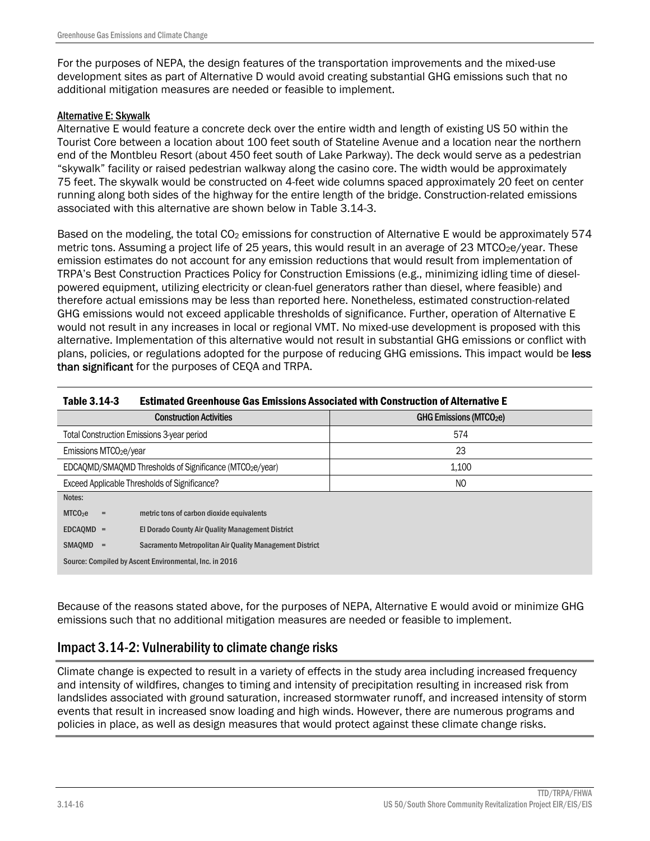For the purposes of NEPA, the design features of the transportation improvements and the mixed-use development sites as part of Alternative D would avoid creating substantial GHG emissions such that no additional mitigation measures are needed or feasible to implement.

### Alternative E: Skywalk

Alternative E would feature a concrete deck over the entire width and length of existing US 50 within the Tourist Core between a location about 100 feet south of Stateline Avenue and a location near the northern end of the Montbleu Resort (about 450 feet south of Lake Parkway). The deck would serve as a pedestrian "skywalk" facility or raised pedestrian walkway along the casino core. The width would be approximately 75 feet. The skywalk would be constructed on 4-feet wide columns spaced approximately 20 feet on center running along both sides of the highway for the entire length of the bridge. Construction-related emissions associated with this alternative are shown below in Table 3.14-3.

Based on the modeling, the total CO<sub>2</sub> emissions for construction of Alternative E would be approximately 574 metric tons. Assuming a project life of 25 years, this would result in an average of 23 MTCO<sub>2</sub>e/year. These emission estimates do not account for any emission reductions that would result from implementation of TRPA's Best Construction Practices Policy for Construction Emissions (e.g., minimizing idling time of dieselpowered equipment, utilizing electricity or clean-fuel generators rather than diesel, where feasible) and therefore actual emissions may be less than reported here. Nonetheless, estimated construction-related GHG emissions would not exceed applicable thresholds of significance. Further, operation of Alternative E would not result in any increases in local or regional VMT. No mixed-use development is proposed with this alternative. Implementation of this alternative would not result in substantial GHG emissions or conflict with plans, policies, or regulations adopted for the purpose of reducing GHG emissions. This impact would be less than significant for the purposes of CEQA and TRPA.

| <b>Estimated Greenhouse Gas Emissions Associated with Construction of Alternative E</b><br>Table 3.14-3 |                                                         |                                     |
|---------------------------------------------------------------------------------------------------------|---------------------------------------------------------|-------------------------------------|
|                                                                                                         | <b>Construction Activities</b>                          | GHG Emissions (MTCO <sub>2</sub> e) |
|                                                                                                         | Total Construction Emissions 3-year period              | 574                                 |
| Emissions MTCO <sub>2</sub> e/year                                                                      |                                                         | 23                                  |
|                                                                                                         | EDCAQMD/SMAQMD Thresholds of Significance (MTCO2e/year) | 1.100                               |
|                                                                                                         | Exceed Applicable Thresholds of Significance?           | NO                                  |
| Notes:                                                                                                  |                                                         |                                     |
| MTCO <sub>2</sub> e<br>$=$                                                                              | metric tons of carbon dioxide equivalents               |                                     |
| $EDCAOMD =$<br>El Dorado County Air Quality Management District                                         |                                                         |                                     |
| SMAQMD =<br>Sacramento Metropolitan Air Quality Management District                                     |                                                         |                                     |
| Source: Compiled by Ascent Environmental, Inc. in 2016                                                  |                                                         |                                     |
|                                                                                                         |                                                         |                                     |

Because of the reasons stated above, for the purposes of NEPA, Alternative E would avoid or minimize GHG emissions such that no additional mitigation measures are needed or feasible to implement.

# Impact 3.14-2: Vulnerability to climate change risks

Climate change is expected to result in a variety of effects in the study area including increased frequency and intensity of wildfires, changes to timing and intensity of precipitation resulting in increased risk from landslides associated with ground saturation, increased stormwater runoff, and increased intensity of storm events that result in increased snow loading and high winds. However, there are numerous programs and policies in place, as well as design measures that would protect against these climate change risks.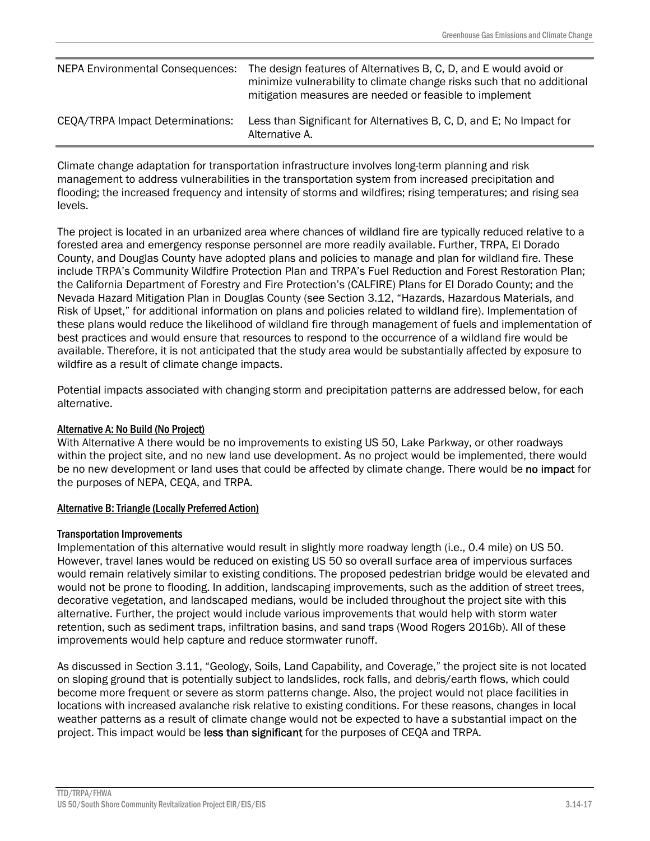| NEPA Environmental Consequences: | The design features of Alternatives B, C, D, and E would avoid or<br>minimize vulnerability to climate change risks such that no additional<br>mitigation measures are needed or feasible to implement |
|----------------------------------|--------------------------------------------------------------------------------------------------------------------------------------------------------------------------------------------------------|
| CEQA/TRPA Impact Determinations: | Less than Significant for Alternatives B, C, D, and E; No Impact for<br>Alternative A.                                                                                                                 |

Climate change adaptation for transportation infrastructure involves long-term planning and risk management to address vulnerabilities in the transportation system from increased precipitation and flooding; the increased frequency and intensity of storms and wildfires; rising temperatures; and rising sea levels.

The project is located in an urbanized area where chances of wildland fire are typically reduced relative to a forested area and emergency response personnel are more readily available. Further, TRPA, El Dorado County, and Douglas County have adopted plans and policies to manage and plan for wildland fire. These include TRPA's Community Wildfire Protection Plan and TRPA's Fuel Reduction and Forest Restoration Plan; the California Department of Forestry and Fire Protection's (CALFIRE) Plans for El Dorado County; and the Nevada Hazard Mitigation Plan in Douglas County (see Section 3.12, "Hazards, Hazardous Materials, and Risk of Upset," for additional information on plans and policies related to wildland fire). Implementation of these plans would reduce the likelihood of wildland fire through management of fuels and implementation of best practices and would ensure that resources to respond to the occurrence of a wildland fire would be available. Therefore, it is not anticipated that the study area would be substantially affected by exposure to wildfire as a result of climate change impacts.

Potential impacts associated with changing storm and precipitation patterns are addressed below, for each alternative.

### Alternative A: No Build (No Project)

With Alternative A there would be no improvements to existing US 50, Lake Parkway, or other roadways within the project site, and no new land use development. As no project would be implemented, there would be no new development or land uses that could be affected by climate change. There would be no impact for the purposes of NEPA, CEQA, and TRPA.

### Alternative B: Triangle (Locally Preferred Action)

### Transportation Improvements

Implementation of this alternative would result in slightly more roadway length (i.e., 0.4 mile) on US 50. However, travel lanes would be reduced on existing US 50 so overall surface area of impervious surfaces would remain relatively similar to existing conditions. The proposed pedestrian bridge would be elevated and would not be prone to flooding. In addition, landscaping improvements, such as the addition of street trees, decorative vegetation, and landscaped medians, would be included throughout the project site with this alternative. Further, the project would include various improvements that would help with storm water retention, such as sediment traps, infiltration basins, and sand traps (Wood Rogers 2016b). All of these improvements would help capture and reduce stormwater runoff.

As discussed in Section 3.11, "Geology, Soils, Land Capability, and Coverage," the project site is not located on sloping ground that is potentially subject to landslides, rock falls, and debris/earth flows, which could become more frequent or severe as storm patterns change. Also, the project would not place facilities in locations with increased avalanche risk relative to existing conditions. For these reasons, changes in local weather patterns as a result of climate change would not be expected to have a substantial impact on the project. This impact would be less than significant for the purposes of CEQA and TRPA.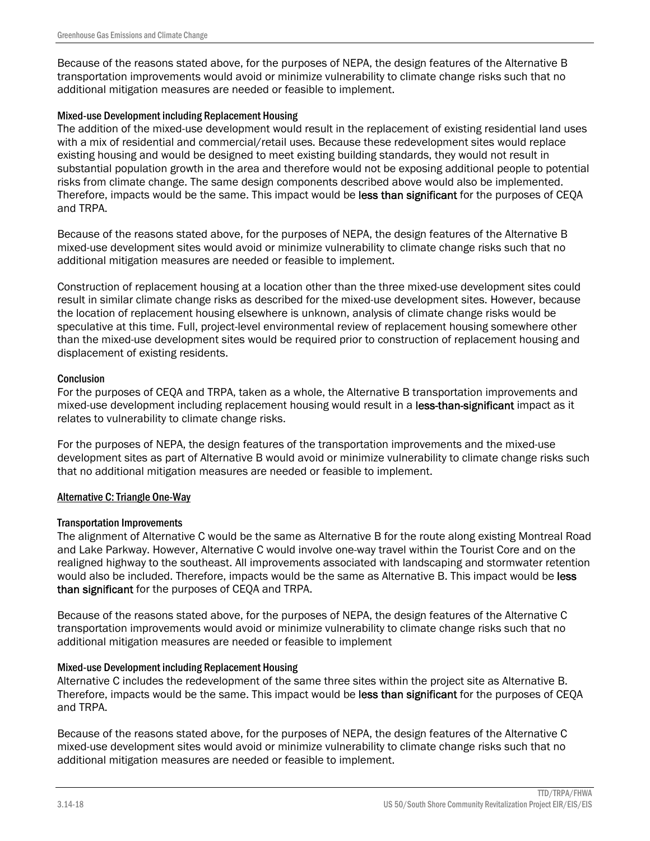Because of the reasons stated above, for the purposes of NEPA, the design features of the Alternative B transportation improvements would avoid or minimize vulnerability to climate change risks such that no additional mitigation measures are needed or feasible to implement.

#### Mixed-use Development including Replacement Housing

The addition of the mixed-use development would result in the replacement of existing residential land uses with a mix of residential and commercial/retail uses. Because these redevelopment sites would replace existing housing and would be designed to meet existing building standards, they would not result in substantial population growth in the area and therefore would not be exposing additional people to potential risks from climate change. The same design components described above would also be implemented. Therefore, impacts would be the same. This impact would be less than significant for the purposes of CEQA and TRPA.

Because of the reasons stated above, for the purposes of NEPA, the design features of the Alternative B mixed-use development sites would avoid or minimize vulnerability to climate change risks such that no additional mitigation measures are needed or feasible to implement.

Construction of replacement housing at a location other than the three mixed-use development sites could result in similar climate change risks as described for the mixed-use development sites. However, because the location of replacement housing elsewhere is unknown, analysis of climate change risks would be speculative at this time. Full, project-level environmental review of replacement housing somewhere other than the mixed-use development sites would be required prior to construction of replacement housing and displacement of existing residents.

#### **Conclusion**

For the purposes of CEQA and TRPA, taken as a whole, the Alternative B transportation improvements and mixed-use development including replacement housing would result in a less-than-significant impact as it relates to vulnerability to climate change risks.

For the purposes of NEPA, the design features of the transportation improvements and the mixed-use development sites as part of Alternative B would avoid or minimize vulnerability to climate change risks such that no additional mitigation measures are needed or feasible to implement.

### Alternative C: Triangle One-Way

#### Transportation Improvements

The alignment of Alternative C would be the same as Alternative B for the route along existing Montreal Road and Lake Parkway. However, Alternative C would involve one-way travel within the Tourist Core and on the realigned highway to the southeast. All improvements associated with landscaping and stormwater retention would also be included. Therefore, impacts would be the same as Alternative B. This impact would be less than significant for the purposes of CEQA and TRPA.

Because of the reasons stated above, for the purposes of NEPA, the design features of the Alternative C transportation improvements would avoid or minimize vulnerability to climate change risks such that no additional mitigation measures are needed or feasible to implement

### Mixed-use Development including Replacement Housing

Alternative C includes the redevelopment of the same three sites within the project site as Alternative B. Therefore, impacts would be the same. This impact would be less than significant for the purposes of CEQA and TRPA.

Because of the reasons stated above, for the purposes of NEPA, the design features of the Alternative C mixed-use development sites would avoid or minimize vulnerability to climate change risks such that no additional mitigation measures are needed or feasible to implement.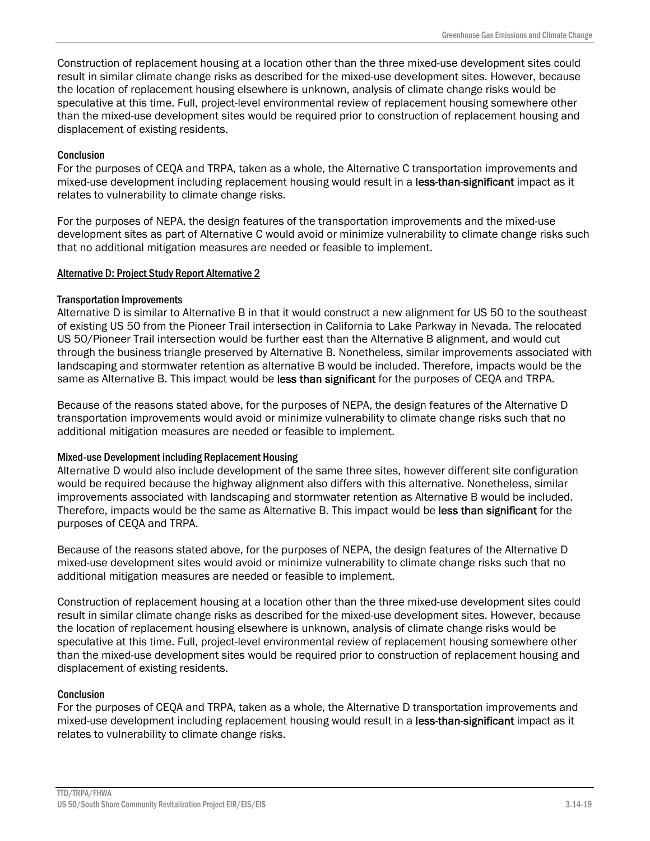Construction of replacement housing at a location other than the three mixed-use development sites could result in similar climate change risks as described for the mixed-use development sites. However, because the location of replacement housing elsewhere is unknown, analysis of climate change risks would be speculative at this time. Full, project-level environmental review of replacement housing somewhere other than the mixed-use development sites would be required prior to construction of replacement housing and displacement of existing residents.

### **Conclusion**

For the purposes of CEQA and TRPA, taken as a whole, the Alternative C transportation improvements and mixed-use development including replacement housing would result in a less-than-significant impact as it relates to vulnerability to climate change risks.

For the purposes of NEPA, the design features of the transportation improvements and the mixed-use development sites as part of Alternative C would avoid or minimize vulnerability to climate change risks such that no additional mitigation measures are needed or feasible to implement.

### Alternative D: Project Study Report Alternative 2

### Transportation Improvements

Alternative D is similar to Alternative B in that it would construct a new alignment for US 50 to the southeast of existing US 50 from the Pioneer Trail intersection in California to Lake Parkway in Nevada. The relocated US 50/Pioneer Trail intersection would be further east than the Alternative B alignment, and would cut through the business triangle preserved by Alternative B. Nonetheless, similar improvements associated with landscaping and stormwater retention as alternative B would be included. Therefore, impacts would be the same as Alternative B. This impact would be less than significant for the purposes of CEQA and TRPA.

Because of the reasons stated above, for the purposes of NEPA, the design features of the Alternative D transportation improvements would avoid or minimize vulnerability to climate change risks such that no additional mitigation measures are needed or feasible to implement.

### Mixed-use Development including Replacement Housing

Alternative D would also include development of the same three sites, however different site configuration would be required because the highway alignment also differs with this alternative. Nonetheless, similar improvements associated with landscaping and stormwater retention as Alternative B would be included. Therefore, impacts would be the same as Alternative B. This impact would be less than significant for the purposes of CEQA and TRPA.

Because of the reasons stated above, for the purposes of NEPA, the design features of the Alternative D mixed-use development sites would avoid or minimize vulnerability to climate change risks such that no additional mitigation measures are needed or feasible to implement.

Construction of replacement housing at a location other than the three mixed-use development sites could result in similar climate change risks as described for the mixed-use development sites. However, because the location of replacement housing elsewhere is unknown, analysis of climate change risks would be speculative at this time. Full, project-level environmental review of replacement housing somewhere other than the mixed-use development sites would be required prior to construction of replacement housing and displacement of existing residents.

### **Conclusion**

For the purposes of CEQA and TRPA, taken as a whole, the Alternative D transportation improvements and mixed-use development including replacement housing would result in a less-than-significant impact as it relates to vulnerability to climate change risks.